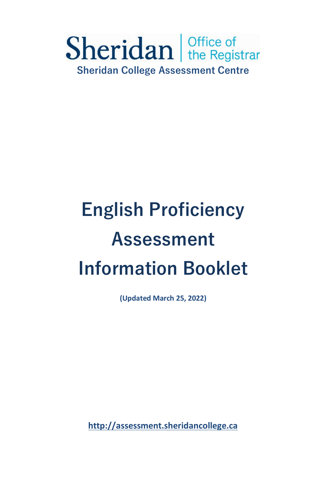

# **English Proficiency Assessment Information Booklet**

**(Updated March 25, 2022)** 

**[http://assessment.sheridancollege.ca](http://assessment.sheridancollege.ca/)**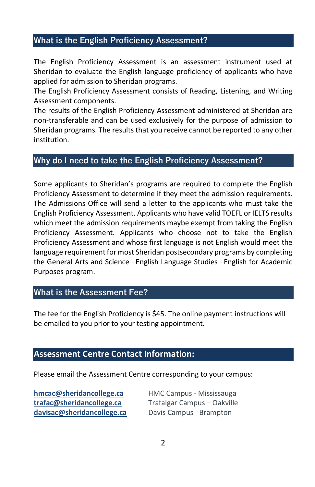## **What is the English Proficiency Assessment?**

The English Proficiency Assessment is an assessment instrument used at Sheridan to evaluate the English language proficiency of applicants who have applied for admission to Sheridan programs.

 The English Proficiency Assessment consists of Reading, Listening, and Writing Assessment components.

 The results of the English Proficiency Assessment administered at Sheridan are non-transferable and can be used exclusively for the purpose of admission to Sheridan programs. The results that you receive cannot be reported to any other institution.

#### **Why do I need to take the English Proficiency Assessment?**

 Some applicants to Sheridan's programs are required to complete the English English Proficiency Assessment. Applicants who have valid TOEFL or IELTS results which meet the admission requirements maybe exempt from taking the English Proficiency Assessment and whose first language is not English would meet the the General Arts and Science –English Language Studies –English for Academic Proficiency Assessment to determine if they meet the admission requirements. The Admissions Office will send a letter to the applicants who must take the Proficiency Assessment. Applicants who choose not to take the English language requirement for most Sheridan postsecondary programs by completing Purposes program.

#### **What is the Assessment Fee?**

 The fee for the English Proficiency is \$45. The online payment instructions will be emailed to you prior to your testing appointment.

#### **Assessment Centre Contact Information:**

Please email the Assessment Centre corresponding to your campus:

 **[hmcac@sheridancollege.ca](mailto:hmcac@sheridancollege.ca?subject=Assessment)** HMC Campus - Mississauga **[trafac@sheridancollege.ca](mailto:trafac@sheridancollege.ca?subject=Assessment)** Trafalgar Campus – Oakville **[davisac@sheridancollege.ca](mailto:davisac@sheridancollege.ca)** Davis Campus - Brampton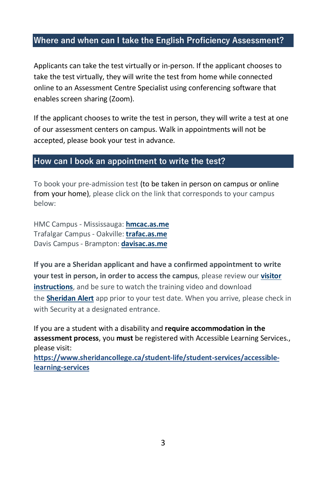## **Where and when can I take the English Proficiency Assessment?**

Applicants can take the test virtually or in-person. If the applicant chooses to take the test virtually, they will write the test from home while connected online to an Assessment Centre Specialist using conferencing software that enables screen sharing (Zoom).

If the applicant chooses to write the test in person, they will write a test at one of our assessment centers on campus. Walk in appointments will not be accepted, please book your test in advance.

#### **How can I book an appointment to write the test?**

To book your pre-admission test (to be taken in person on campus or online from your home), please click on the link that corresponds to your campus below:

 Trafalgar Campus - Oakville: **[trafac.as.me](http://www.trafac.as.me/)**  Davis Campus - Brampton: **[davisac.as.me](http://www.davisac.as.me/)**  HMC Campus - Mississauga: **[hmcac.as.me](http://www.hmcac.as.me/)** 

 **If you are a Sheridan applicant and have a confirmed appointment to write your test in person, in order to access the campus**, please review our **[visitor](https://www.sheridancollege.ca/-/media/project/sheridan/shared/files/admissions/assessment-centre/visitor-instructions.pdf)  [instructions](https://www.sheridancollege.ca/-/media/project/sheridan/shared/files/admissions/assessment-centre/visitor-instructions.pdf)**, and be sure to watch the training video and download the **[Sheridan Alert](https://apparmor.apparmor.com/clients/sheridancollege.ca/)** app prior to your test date. When you arrive, please check in with Security at a designated entrance.

If you are a student with a disability and **require accommodation in the assessment process**, you **must** be registered with Accessible Learning Services., please visit:

**[https://www.sheridancollege.ca/student-life/student-services/accessible](https://www.sheridancollege.ca/student-life/student-services/accessible-learning-services)[learning-services](https://www.sheridancollege.ca/student-life/student-services/accessible-learning-services)**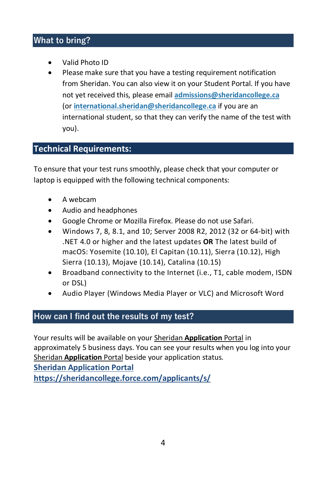## **What to bring?**

- Valid Photo ID
- from Sheridan. You can also view it on your Student Portal. If you have  not yet received this, please email **[admissions@sheridancollege.ca](mailto:admissions@sheridancollege.ca)** • Please make sure that you have a testing requirement notification (or **[international.sheridan@sheridancollege.ca](mailto:international.sheridan@sheridancollege.ca)** if you are an international student, so that they can verify the name of the test with you).

## **Technical Requirements:**

To ensure that your test runs smoothly, please check that your computer or laptop is equipped with the following technical components:

- A webcam
- Audio and headphones
- Google Chrome or Mozilla Firefox. Please do not use Safari.
- macOS: Yosemite (10.10), El Capitan (10.11), Sierra (10.12), High • Windows 7, 8, 8.1, and 10; Server 2008 R2, 2012 (32 or 64-bit) with .NET 4.0 or higher and the latest updates **OR** The latest build of Sierra (10.13), Mojave (10.14), Catalina (10.15)
- • Broadband connectivity to the Internet (i.e., T1, cable modem, ISDN or DSL)
- Audio Player (Windows Media Player or VLC) and Microsoft Word

## **How can I find out the results of my test?**

 Your results will be available on your Sheridan **Application** Portal in approximately 5 business days. You can see your results when you log into your Sheridan **Application** Portal beside your application status.  **[Sheridan Application Portal](https://sheridancollege.force.com/applicantsSSO/s/)  <https://sheridancollege.force.com/applicants/s/>**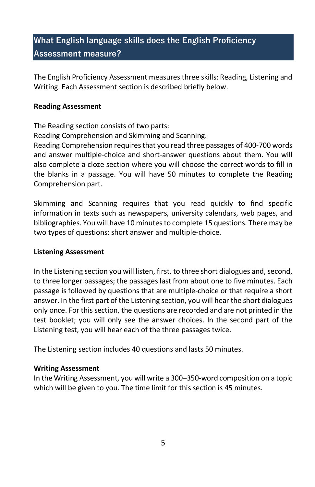## **What English language skills does the English Proficiency Assessment measure?**

 The English Proficiency Assessment measures three skills: Reading, Listening and Writing. Each Assessment section is described briefly below.

#### **Reading Assessment**

The Reading section consists of two parts:

Reading Comprehension and Skimming and Scanning.

 and answer multiple-choice and short-answer questions about them. You will also complete a cloze section where you will choose the correct words to fill in the blanks in a passage. You will have 50 minutes to complete the Reading Reading Comprehension requires that you read three passages of 400-700 words Comprehension part.

 information in texts such as newspapers, university calendars, web pages, and Skimming and Scanning requires that you read quickly to find specific bibliographies. You will have 10 minutes to complete 15 questions. There may be two types of questions: short answer and multiple-choice.

#### **Listening Assessment**

 to three longer passages; the passages last from about one to five minutes. Each test booklet; you will only see the answer choices. In the second part of the In the Listening section you will listen, first, to three short dialogues and, second, passage is followed by questions that are multiple-choice or that require a short answer. In the first part of the Listening section, you will hear the short dialogues only once. For this section, the questions are recorded and are not printed in the Listening test, you will hear each of the three passages twice.

The Listening section includes 40 questions and lasts 50 minutes.

#### **Writing Assessment**

 In the Writing Assessment, you will write a 300–350-word composition on a topic  which will be given to you. The time limit for this section is 45 minutes.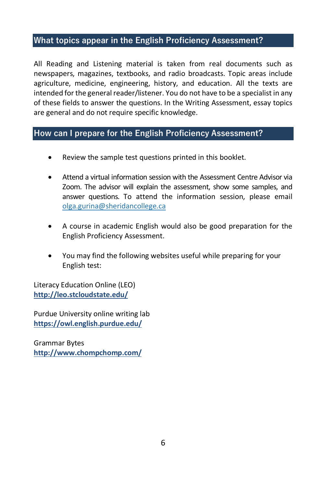## **What topics appear in the English Proficiency Assessment?**

 All Reading and Listening material is taken from real documents such as newspapers, magazines, textbooks, and radio broadcasts. Topic areas include agriculture, medicine, engineering, history, and education. All the texts are intended for the general reader/listener. You do not have to be a specialist in any of these fields to answer the questions. In the Writing Assessment, essay topics are general and do not require specific knowledge.

## **How can I prepare for the English Proficiency Assessment?**

- Review the sample test questions printed in this booklet.
- • Attend a virtual information session with the Assessment Centre Advisor via Zoom. The advisor will explain the assessment, show some samples, and answer questions. To attend the information session, please email [olga.gurina@sheridancollege.ca](mailto:olga.gurina@sheridancollege.ca)
- A course in academic English would also be good preparation for the English Proficiency Assessment.
- • You may find the following websites useful while preparing for your English test:

Literacy Education Online (LEO) **<http://leo.stcloudstate.edu/>**

Purdue University online writing lab **<https://owl.english.purdue.edu/>**

Grammar Bytes **<http://www.chompchomp.com/>**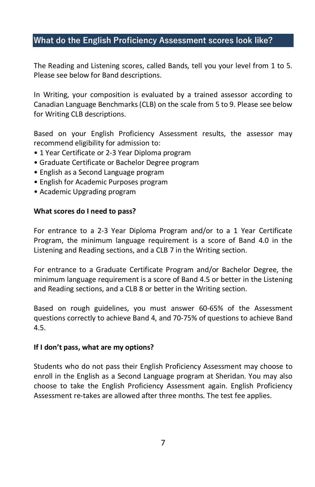#### **What do the English Proficiency Assessment scores look like?**

The Reading and Listening scores, called Bands, tell you your level from 1 to 5. Please see below for Band descriptions.

In Writing, your composition is evaluated by a trained assessor according to Canadian Language Benchmarks (CLB) on the scale from 5 to 9. Please see below for Writing CLB descriptions.

 Based on your English Proficiency Assessment results, the assessor may recommend eligibility for admission to:

- 1 Year Certificate or 2-3 Year Diploma program
- Graduate Certificate or Bachelor Degree program
- English as a Second Language program
- English for Academic Purposes program
- Academic Upgrading program

#### **What scores do I need to pass?**

 For entrance to a 2-3 Year Diploma Program and/or to a 1 Year Certificate Program, the minimum language requirement is a score of Band 4.0 in the Listening and Reading sections, and a CLB 7 in the Writing section.

 and Reading sections, and a CLB 8 or better in the Writing section. For entrance to a Graduate Certificate Program and/or Bachelor Degree, the minimum language requirement is a score of Band 4.5 or better in the Listening

 Based on rough guidelines, you must answer 60-65% of the Assessment questions correctly to achieve Band 4, and 70-75% of questions to achieve Band 4.5.

#### **If I don't pass, what are my options?**

 Students who do not pass their English Proficiency Assessment may choose to enroll in the English as a Second Language program at Sheridan. You may also choose to take the English Proficiency Assessment again. English Proficiency Assessment re-takes are allowed after three months. The test fee applies.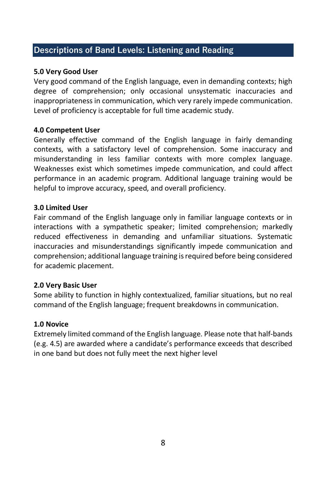## **Descriptions of Band Levels: Listening and Reading**

#### **5.0 Very Good User**

 degree of comprehension; only occasional unsystematic inaccuracies and Very good command of the English language, even in demanding contexts; high inappropriateness in communication, which very rarely impede communication. Level of proficiency is acceptable for full time academic study.

#### **4.0 Competent User**

 Generally effective command of the English language in fairly demanding misunderstanding in less familiar contexts with more complex language. Weaknesses exist which sometimes impede communication, and could affect contexts, with a satisfactory level of comprehension. Some inaccuracy and performance in an academic program. Additional language training would be helpful to improve accuracy, speed, and overall proficiency.

#### **3.0 Limited User**

 Fair command of the English language only in familiar language contexts or in interactions with a sympathetic speaker; limited comprehension; markedly comprehension; additional language training is required before being considered reduced effectiveness in demanding and unfamiliar situations. Systematic inaccuracies and misunderstandings significantly impede communication and for academic placement.

#### **2.0 Very Basic User**

 command of the English language; frequent breakdowns in communication. Some ability to function in highly contextualized, familiar situations, but no real

#### **1.0 Novice**

 Extremely limited command of the English language. Please note that half-bands (e.g. 4.5) are awarded where a candidate's performance exceeds that described in one band but does not fully meet the next higher level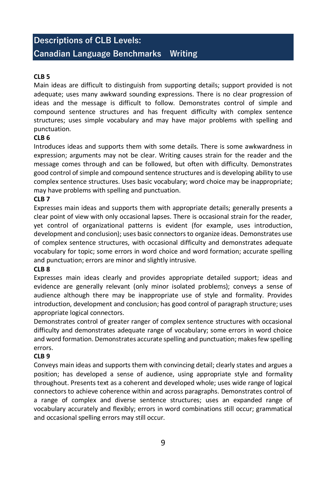## **– Canadian Language Benchmarks Writing Descriptions of CLB Levels:**

#### **CLB 5**

 Main ideas are difficult to distinguish from supporting details; support provided is not adequate; uses many awkward sounding expressions. There is no clear progression of ideas and the message is difficult to follow. Demonstrates control of simple and compound sentence structures and has frequent difficulty with complex sentence structures; uses simple vocabulary and may have major problems with spelling and punctuation.

#### **CLB 6**

 Introduces ideas and supports them with some details. There is some awkwardness in expression; arguments may not be clear. Writing causes strain for the reader and the good control of simple and compound sentence structures and is developing ability to use complex sentence structures. Uses basic vocabulary; word choice may be inappropriate; message comes through and can be followed, but often with difficulty. Demonstrates may have problems with spelling and punctuation.

#### **CLB 7**

 clear point of view with only occasional lapses. There is occasional strain for the reader, development and conclusion); uses basic connectors to organize ideas. Demonstrates use vocabulary for topic; some errors in word choice and word formation; accurate spelling and punctuation; errors are minor and slightly intrusive. Expresses main ideas and supports them with appropriate details; generally presents a yet control of organizational patterns is evident (for example, uses introduction, of complex sentence structures, with occasional difficulty and demonstrates adequate

#### **CLB 8**

 Expresses main ideas clearly and provides appropriate detailed support; ideas and evidence are generally relevant (only minor isolated problems); conveys a sense of audience although there may be inappropriate use of style and formality. Provides introduction, development and conclusion; has good control of paragraph structure; uses appropriate logical connectors.

Demonstrates control of greater ranger of complex sentence structures with occasional difficulty and demonstrates adequate range of vocabulary; some errors in word choice and word formation. Demonstrates accurate spelling and punctuation; makes few spelling errors.

#### **CLB 9**

 Conveys main ideas and supports them with convincing detail; clearly states and argues a connectors to achieve coherence within and across paragraphs. Demonstrates control of position; has developed a sense of audience, using appropriate style and formality throughout. Presents text as a coherent and developed whole; uses wide range of logical a range of complex and diverse sentence structures; uses an expanded range of vocabulary accurately and flexibly; errors in word combinations still occur; grammatical and occasional spelling errors may still occur.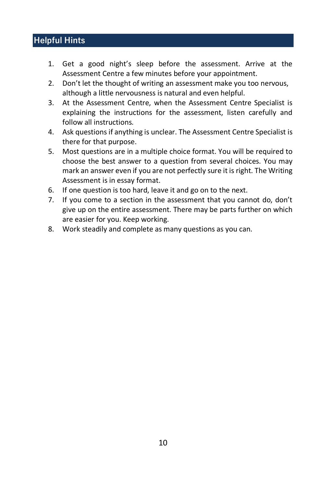## **Helpful Hints**

- 1. Get a good night's sleep before the assessment. Arrive at the Assessment Centre a few minutes before your appointment.
- 2. Don't let the thought of writing an assessment make you too nervous, although a little nervousness is natural and even helpful.
- 3. At the Assessment Centre, when the Assessment Centre Specialist is explaining the instructions for the assessment, listen carefully and follow all instructions.
- 4. Ask questions if anything is unclear. The Assessment Centre Specialist is there for that purpose.
- 5. Most questions are in a multiple choice format. You will be required to choose the best answer to a question from several choices. You may mark an answer even if you are not perfectly sure it is right. The Writing Assessment is in essay format.
- 6. If one question is too hard, leave it and go on to the next.
- give up on the entire assessment. There may be parts further on which 7. If you come to a section in the assessment that you cannot do, don't are easier for you. Keep working.
- 8. Work steadily and complete as many questions as you can.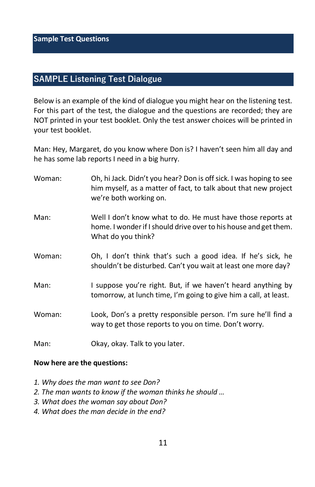**Sample Test Questions** 

## **SAMPLE Listening Test Dialogue**

 Below is an example of the kind of dialogue you might hear on the listening test. NOT printed in your test booklet. Only the test answer choices will be printed in For this part of the test, the dialogue and the questions are recorded; they are your test booklet.

Man: Hey, Margaret, do you know where Don is? I haven't seen him all day and he has some lab reports I need in a big hurry.

| Woman: | Oh, hi Jack. Didn't you hear? Don is off sick. I was hoping to see<br>him myself, as a matter of fact, to talk about that new project<br>we're both working on. |
|--------|-----------------------------------------------------------------------------------------------------------------------------------------------------------------|
| Man:   | Well I don't know what to do. He must have those reports at<br>home. I wonder if I should drive over to his house and get them.<br>What do you think?           |
| Woman: | Oh, I don't think that's such a good idea. If he's sick, he<br>shouldn't be disturbed. Can't you wait at least one more day?                                    |
| Man:   | I suppose you're right. But, if we haven't heard anything by<br>tomorrow, at lunch time, I'm going to give him a call, at least.                                |
| Woman: | Look, Don's a pretty responsible person. I'm sure he'll find a<br>way to get those reports to you on time. Don't worry.                                         |
| Man:   | Okay, okay. Talk to you later.                                                                                                                                  |

#### **Now here are the questions:**

- *1. Why does the man want to see Don?*
- *2. The man wants to know if the woman thinks he should …*
- *3. What does the woman say about Don?*
- *4. What does the man decide in the end?*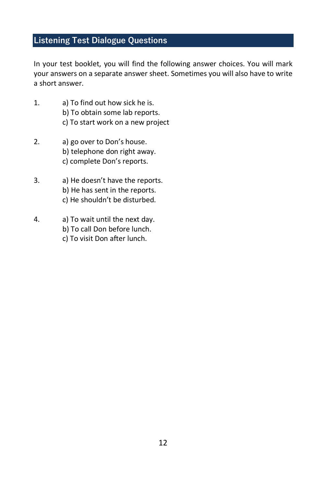## **Listening Test Dialogue Questions**

 In your test booklet, you will find the following answer choices. You will mark your answers on a separate answer sheet. Sometimes you will also have to write a short answer.

- 1. a) To find out how sick he is. b) To obtain some lab reports. c) To start work on a new project
- 2. a) go over to Don's house. b) telephone don right away. c) complete Don's reports.
- 3. a) He doesn't have the reports. b) He has sent in the reports. c) He shouldn't be disturbed.
- 4. a) To wait until the next day.
	- b) To call Don before lunch.
	- c) To visit Don after lunch.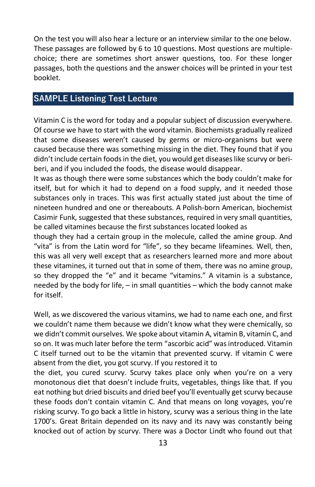passages, both the questions and the answer choices will be printed in your test On the test you will also hear a lecture or an interview similar to the one below. These passages are followed by 6 to 10 questions. Most questions are multiplechoice; there are sometimes short answer questions, too. For these longer booklet.

## **SAMPLE Listening Test Lecture**

 caused because there was something missing in the diet. They found that if you beri, and if you included the foods, the disease would disappear. Vitamin C is the word for today and a popular subject of discussion everywhere. Of course we have to start with the word vitamin. Biochemists gradually realized that some diseases weren't caused by germs or micro-organisms but were didn't include certain foods in the diet, you would get diseases like scurvy or beri-

 itself, but for which it had to depend on a food supply, and it needed those substances only in traces. This was first actually stated just about the time of It was as though there were some substances which the body couldn't make for nineteen hundred and one or thereabouts. A Polish-born American, biochemist Casimir Funk, suggested that these substances, required in very small quantities, be called vitamines because the first substances located looked as

 though they had a certain group in the molecule, called the amine group. And "vita" is from the Latin word for "life", so they became lifeamines. Well, then, this was all very well except that as researchers learned more and more about these vitamines, it turned out that in some of them, there was no amine group, so they dropped the "e" and it became "vitamins." A vitamin is a substance, needed by the body for life, – in small quantities – which the body cannot make for itself.

 we didn't commit ourselves. We spoke about vitamin A, vitamin B, vitamin C, and so on. It was much later before the term "ascorbic acid" was introduced. Vitamin absent from the diet, you got scurvy. If you restored it to Well, as we discovered the various vitamins, we had to name each one, and first we couldn't name them because we didn't know what they were chemically, so C itself turned out to be the vitamin that prevented scurvy. If vitamin C were

 eat nothing but dried biscuits and dried beef you'll eventually get scurvy because risking scurvy. To go back a little in history, scurvy was a serious thing in the late knocked out of action by scurvy. There was a Doctor Lindt who found out that the diet, you cured scurvy. Scurvy takes place only when you're on a very monotonous diet that doesn't include fruits, vegetables, things like that. If you these foods don't contain vitamin C. And that means on long voyages, you're 1700's. Great Britain depended on its navy and its navy was constantly being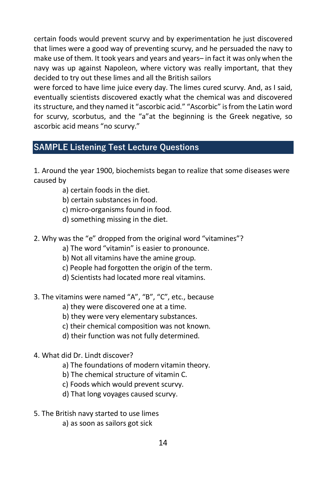certain foods would prevent scurvy and by experimentation he just discovered that limes were a good way of preventing scurvy, and he persuaded the navy to make use of them. It took years and years and years– in fact it was only when the decided to try out these limes and all the British sailors navy was up against Napoleon, where victory was really important, that they

 eventually scientists discovered exactly what the chemical was and discovered its structure, and they named it "ascorbic acid." "Ascorbic" is from the Latin word for scurvy, scorbutus, and the "a"at the beginning is the Greek negative, so were forced to have lime juice every day. The limes cured scurvy. And, as I said, ascorbic acid means "no scurvy."

## **SAMPLE Listening Test Lecture Questions**

 1. Around the year 1900, biochemists began to realize that some diseases were caused by

- a) certain foods in the diet.
- b) certain substances in food.
- c) micro-organisms found in food.
- d) something missing in the diet.
- 2. Why was the "e" dropped from the original word "vitamines"?
	- a) The word "vitamin" is easier to pronounce.
	- b) Not all vitamins have the amine group.
	- c) People had forgotten the origin of the term.
	- d) Scientists had located more real vitamins.
- 3. The vitamins were named "A", "B", "C", etc., because
	- a) they were discovered one at a time.
	- b) they were very elementary substances.
	- c) their chemical composition was not known.
	- d) their function was not fully determined.
- 4. What did Dr. Lindt discover?
	- a) The foundations of modern vitamin theory.
	- b) The chemical structure of vitamin C.
	- c) Foods which would prevent scurvy.
	- d) That long voyages caused scurvy.
- 5. The British navy started to use limes
	- a) as soon as sailors got sick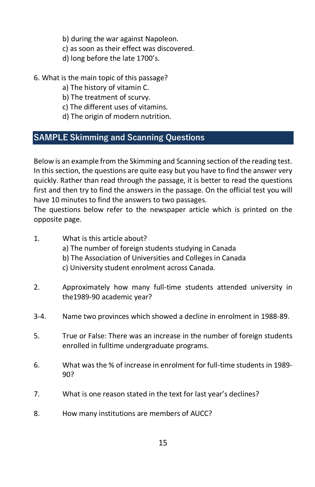- b) during the war against Napoleon.
- c) as soon as their effect was discovered.
- d) long before the late 1700's.
- 6. What is the main topic of this passage?
	- a) The history of vitamin C.
	- b) The treatment of scurvy.
	- c) The different uses of vitamins.
	- d) The origin of modern nutrition.

## **SAMPLE Skimming and Scanning Questions**

Below is an example from the Skimming and Scanning section of the reading test. In this section, the questions are quite easy but you have to find the answer very quickly. Rather than read through the passage, it is better to read the questions first and then try to find the answers in the passage. On the official test you will have 10 minutes to find the answers to two passages.

The questions below refer to the newspaper article which is printed on the opposite page.

- 1. What is this article about?
	- a) The number of foreign students studying in Canada
	- b) The Association of Universities and Colleges in Canada
	- c) University student enrolment across Canada.
- 2. Approximately how many full-time students attended university in the1989-90 academic year?
- 3-4. Name two provinces which showed a decline in enrolment in 1988-89.
- 5. True or False: There was an increase in the number of foreign students enrolled in fulltime undergraduate programs.
- 6. What was the % of increase in enrolment for full-time students in 1989- 90?
- 7. What is one reason stated in the text for last year's declines?
- 8. How many institutions are members of AUCC?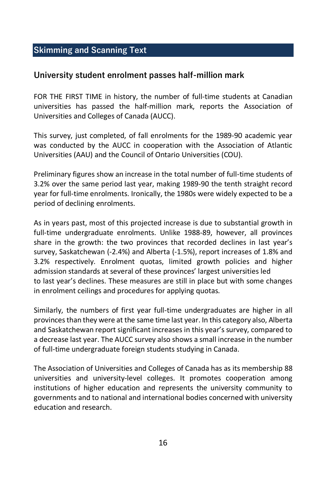## **Skimming and Scanning Text**

#### **University student enrolment passes half-million mark**

 FOR THE FIRST TIME in history, the number of full-time students at Canadian Universities and Colleges of Canada (AUCC). universities has passed the half-million mark, reports the Association of

 was conducted by the AUCC in cooperation with the Association of Atlantic This survey, just completed, of fall enrolments for the 1989-90 academic year Universities (AAU) and the Council of Ontario Universities (COU).

 3.2% over the same period last year, making 1989-90 the tenth straight record Preliminary figures show an increase in the total number of full-time students of year for full-time enrolments. Ironically, the 1980s were widely expected to be a period of declining enrolments.

 As in years past, most of this projected increase is due to substantial growth in share in the growth: the two provinces that recorded declines in last year's survey, Saskatchewan (-2.4%) and Alberta (-1.5%), report increases of 1.8% and full-time undergraduate enrolments. Unlike 1988-89, however, all provinces 3.2% respectively. Enrolment quotas, limited growth policies and higher admission standards at several of these provinces' largest universities led to last year's declines. These measures are still in place but with some changes in enrolment ceilings and procedures for applying quotas.

 Similarly, the numbers of first year full-time undergraduates are higher in all provinces than they were at the same time last year. In this category also, Alberta and Saskatchewan report significant increases in this year's survey, compared to a decrease last year. The AUCC survey also shows a small increase in the number of full-time undergraduate foreign students studying in Canada.

The Association of Universities and Colleges of Canada has as its membership 88 universities and university-level colleges. It promotes cooperation among institutions of higher education and represents the university community to governments and to national and international bodies concerned with university education and research.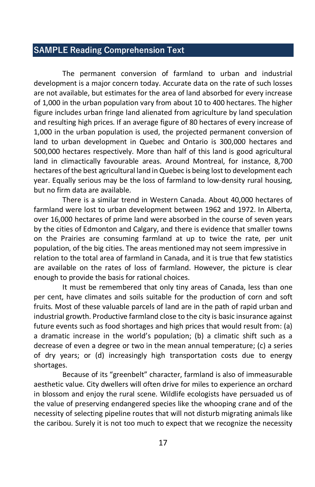## **SAMPLE Reading Comprehension Text**

 development is a major concern today. Accurate data on the rate of such losses are not available, but estimates for the area of land absorbed for every increase of 1,000 in the urban population vary from about 10 to 400 hectares. The higher 1,000 in the urban population is used, the projected permanent conversion of land to urban development in Quebec and Ontario is 300,000 hectares and hectares of the best agricultural land in Quebec is being lost to development each year. Equally serious may be the loss of farmland to low-density rural housing, The permanent conversion of farmland to urban and industrial figure includes urban fringe land alienated from agriculture by land speculation and resulting high prices. If an average figure of 80 hectares of every increase of 500,000 hectares respectively. More than half of this land is good agricultural land in climactically favourable areas. Around Montreal, for instance, 8,700 but no firm data are available.

 There is a similar trend in Western Canada. About 40,000 hectares of farmland were lost to urban development between 1962 and 1972. In Alberta, population, of the big cities. The areas mentioned may not seem impressive in relation to the total area of farmland in Canada, and it is true that few statistics are available on the rates of loss of farmland. However, the picture is clear enough to provide the basis for rational choices. over 16,000 hectares of prime land were absorbed in the course of seven years by the cities of Edmonton and Calgary, and there is evidence that smaller towns on the Prairies are consuming farmland at up to twice the rate, per unit

 fruits. Most of these valuable parcels of land are in the path of rapid urban and industrial growth. Productive farmland close to the city is basic insurance against a dramatic increase in the world's population; (b) a climatic shift such as a decrease of even a degree or two in the mean annual temperature; (c) a series It must be remembered that only tiny areas of Canada, less than one per cent, have climates and soils suitable for the production of corn and soft future events such as food shortages and high prices that would result from: (a) of dry years; or (d) increasingly high transportation costs due to energy shortages.

 Because of its "greenbelt" character, farmland is also of immeasurable aesthetic value. City dwellers will often drive for miles to experience an orchard in blossom and enjoy the rural scene. Wildlife ecologists have persuaded us of the caribou. Surely it is not too much to expect that we recognize the necessity the value of preserving endangered species like the whooping crane and of the necessity of selecting pipeline routes that will not disturb migrating animals like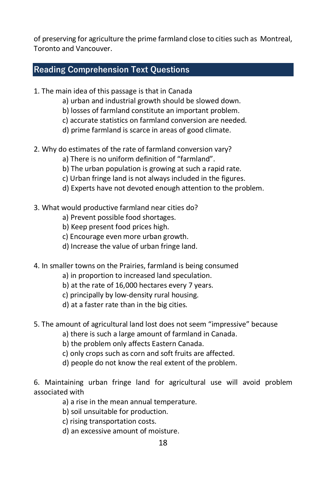of preserving for agriculture the prime farmland close to cities such as Montreal, Toronto and Vancouver.

## **Reading Comprehension Text Questions**

- 1. The main idea of this passage is that in Canada
	- a) urban and industrial growth should be slowed down.
	- b) losses of farmland constitute an important problem.
	- c) accurate statistics on farmland conversion are needed.
	- d) prime farmland is scarce in areas of good climate.
- 2. Why do estimates of the rate of farmland conversion vary?
	- a) There is no uniform definition of "farmland".
	- b) The urban population is growing at such a rapid rate.
	- c) Urban fringe land is not always included in the figures.
	- d) Experts have not devoted enough attention to the problem.
- 3. What would productive farmland near cities do?
	- a) Prevent possible food shortages.
	- b) Keep present food prices high.
	- c) Encourage even more urban growth.
	- d) Increase the value of urban fringe land.
- 4. In smaller towns on the Prairies, farmland is being consumed
	- a) in proportion to increased land speculation.
	- b) at the rate of 16,000 hectares every 7 years.
	- c) principally by low-density rural housing.
	- d) at a faster rate than in the big cities.
- 5. The amount of agricultural land lost does not seem "impressive" because
	- a) there is such a large amount of farmland in Canada.
	- b) the problem only affects Eastern Canada.
	- c) only crops such as corn and soft fruits are affected.
	- d) people do not know the real extent of the problem.
- 6. Maintaining urban fringe land for agricultural use will avoid problem associated with
	- a) a rise in the mean annual temperature.
	- b) soil unsuitable for production.
	- c) rising transportation costs.
	- d) an excessive amount of moisture.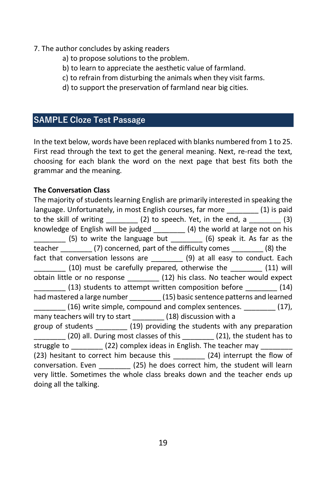#### 7. The author concludes by asking readers

- a) to propose solutions to the problem.
- b) to learn to appreciate the aesthetic value of farmland.
- c) to refrain from disturbing the animals when they visit farms.
- d) to support the preservation of farmland near big cities.

## **SAMPLE Cloze Test Passage**

 In the text below, words have been replaced with blanks numbered from 1 to 25. First read through the text to get the general meaning. Next, re-read the text, choosing for each blank the word on the next page that best fits both the grammar and the meaning.

#### **The Conversation Class**

 The majority of students learning English are primarily interested in speaking the language. Unfortunately, in most English courses, far more \_\_\_\_\_\_\_\_ (1) is paid \_\_\_\_\_\_\_\_ (5) to write the language but \_\_\_\_\_\_\_\_ (6) speak it. As far as the fact that conversation lessons are \_\_\_\_\_\_\_\_\_ (9) at all easy to conduct. Each \_\_\_\_\_\_\_\_ (20) all. During most classes of this \_\_\_\_\_\_\_\_ (21), the student has to conversation. Even \_\_\_\_\_\_\_\_ (25) he does correct him, the student will learn to the skill of writing  $(2)$  to speech. Yet, in the end, a  $(3)$ knowledge of English will be judged \_\_\_\_\_\_\_\_ (4) the world at large not on his teacher (7) concerned, part of the difficulty comes \_\_\_\_\_\_\_\_ (8) the  $(10)$  must be carefully prepared, otherwise the  $(11)$  will obtain little or no response \_\_\_\_\_\_\_\_ (12) his class. No teacher would expect  $(13)$  students to attempt written composition before  $(14)$ had mastered a large number (15) basic sentence patterns and learned \_\_\_\_\_\_\_\_ (16) write simple, compound and complex sentences. \_\_\_\_\_\_\_\_ (17), many teachers will try to start (18) discussion with a group of students \_\_\_\_\_\_\_\_ (19) providing the students with any preparation struggle to  $(22)$  complex ideas in English. The teacher may (23) hesitant to correct him because this (24) interrupt the flow of very little. Sometimes the whole class breaks down and the teacher ends up doing all the talking.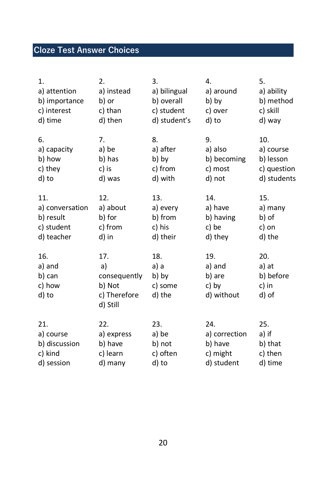## **Cloze Test Answer Choices**

| 1.                                         | 2.                                                              | 3.                                        | 4.                                             | 5.                                          |
|--------------------------------------------|-----------------------------------------------------------------|-------------------------------------------|------------------------------------------------|---------------------------------------------|
| a) attention                               | a) instead                                                      | a) bilingual                              | a) around                                      | a) ability                                  |
| b) importance                              | b) or                                                           | b) overall                                | b) by                                          | b) method                                   |
| c) interest                                | c) than                                                         | c) student                                | c) over                                        | c) skill                                    |
| d) time                                    | d) then                                                         | d) student's                              | d) to                                          | d) way                                      |
| 6.                                         | 7.                                                              | 8.                                        | 9.                                             | 10.                                         |
| a) capacity                                | a) be                                                           | a) after                                  | a) also                                        | a) course                                   |
| b) how                                     | b) has                                                          | b) by                                     | b) becoming                                    | b) lesson                                   |
| c) they                                    | c) is                                                           | c) from                                   | c) most                                        | c) question                                 |
| d) to                                      | d) was                                                          | d) with                                   | d) not                                         | d) students                                 |
| 11.                                        | 12.                                                             | 13.                                       | 14.                                            | 15.                                         |
| a) conversation                            | a) about                                                        | a) every                                  | a) have                                        | a) many                                     |
| b) result                                  | b) for                                                          | b) from                                   | b) having                                      | b) of                                       |
| c) student                                 | c) from                                                         | c) his                                    | c) be                                          | c) on                                       |
| d) teacher                                 | d) in                                                           | d) their                                  | d) they                                        | d) the                                      |
| 16.<br>a) and<br>b) can<br>c) how<br>d) to | 17.<br>a)<br>consequently<br>b) Not<br>c) Therefore<br>d) Still | 18.<br>a) a<br>b) by<br>c) some<br>d) the | 19.<br>a) and<br>b) are<br>c) by<br>d) without | 20.<br>a) at<br>b) before<br>c) in<br>d) of |
| 21.                                        | 22.                                                             | 23.                                       | 24.                                            | 25.                                         |
| a) course                                  | a) express                                                      | a) be                                     | a) correction                                  | a) if                                       |
| b) discussion                              | b) have                                                         | b) not                                    | b) have                                        | b) that                                     |
| c) kind                                    | c) learn                                                        | c) often                                  | c) might                                       | c) then                                     |
| d) session                                 | d) many                                                         | d) to                                     | d) student                                     | d) time                                     |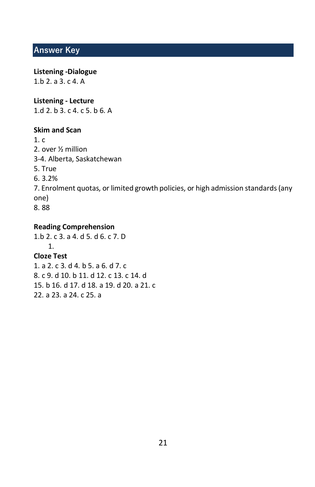## **Answer Key**

#### **Listening -Dialogue**  1.b 2. a 3. c 4. A

 **Listening - Lecture**  1.d 2. b 3. c 4. c 5. b 6. A

#### **Skim and Scan**

1. c 2. over ½ million 3-4. Alberta, Saskatchewan 5. True 6. 3.2% 7. Enrolment quotas, or limited growth policies, or high admission standards (any one) 8. 88

#### **Reading Comprehension**

 8. c 9. d 10. b 11. d 12. c 13. c 14. d 1.b 2. c 3. a 4. d 5. d 6. c 7. D 1. **Cloze Test**  1. a 2. c 3. d 4. b 5. a 6. d 7. c 15. b 16. d 17. d 18. a 19. d 20. a 21. c 22. a 23. a 24. c 25. a